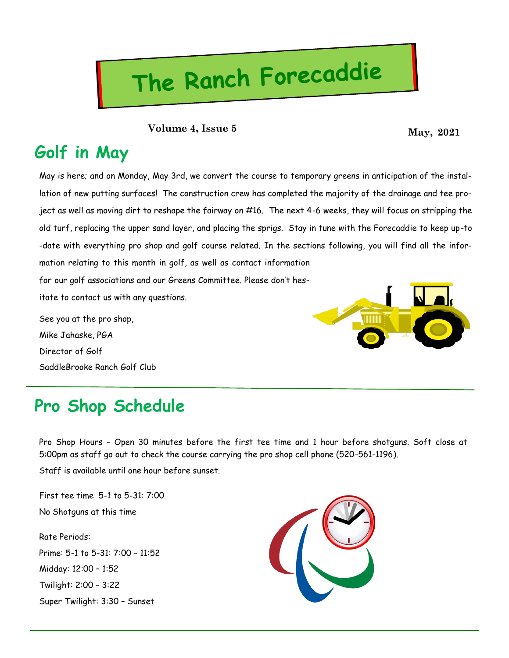# The Ranch Forecaddie

**May, 2021 Volume 4, Issue 5**

### **Golf in May**

May is here; and on Monday, May 3rd, we convert the course to temporary greens in anticipation of the installation of new putting surfaces! The construction crew has completed the majority of the drainage and tee project as well as moving dirt to reshape the fairway on #16. The next 4-6 weeks, they will focus on stripping the old turf, replacing the upper sand layer, and placing the sprigs. Stay in tune with the Forecaddie to keep up-to -date with everything pro shop and golf course related. In the sections following, you will find all the information relating to this month in golf, as well as contact information for our golf associations and our Greens Committee. Please don't hes-

itate to contact us with any questions.

See you at the pro shop, Mike Jahaske, PGA Director of Golf SaddleBrooke Ranch Golf Club



### **Pro Shop Schedule**

Pro Shop Hours – Open 30 minutes before the first tee time and 1 hour before shotguns. Soft close at 5:00pm as staff go out to check the course carrying the pro shop cell phone (520-561-1196).

Staff is available until one hour before sunset.

First tee time 5-1 to 5-31: 7:00 No Shotguns at this time

Rate Periods: Prime: 5-1 to 5-31: 7:00 – 11:52 Midday: 12:00 – 1:52 Twilight: 2:00 – 3:22 Super Twilight: 3:30 – Sunset

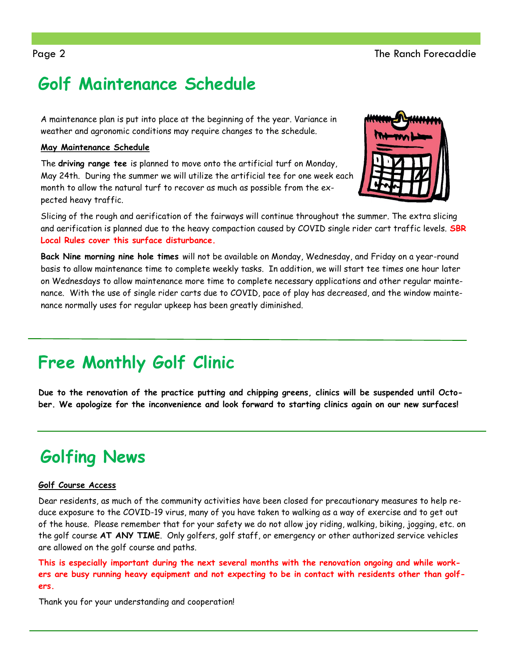## **Golf Maintenance Schedule**

A maintenance plan is put into place at the beginning of the year. Variance in weather and agronomic conditions may require changes to the schedule.

### **May Maintenance Schedule**

The **driving range tee** is planned to move onto the artificial turf on Monday, May 24th. During the summer we will utilize the artificial tee for one week each month to allow the natural turf to recover as much as possible from the expected heavy traffic.



Slicing of the rough and aerification of the fairways will continue throughout the summer. The extra slicing and aerification is planned due to the heavy compaction caused by COVID single rider cart traffic levels. **SBR Local Rules cover this surface disturbance.**

**Back Nine morning nine hole times** will not be available on Monday, Wednesday, and Friday on a year-round basis to allow maintenance time to complete weekly tasks. In addition, we will start tee times one hour later on Wednesdays to allow maintenance more time to complete necessary applications and other regular maintenance. With the use of single rider carts due to COVID, pace of play has decreased, and the window maintenance normally uses for regular upkeep has been greatly diminished.

## **Free Monthly Golf Clinic**

**Due to the renovation of the practice putting and chipping greens, clinics will be suspended until October. We apologize for the inconvenience and look forward to starting clinics again on our new surfaces!**

## **Golfing News**

### **Golf Course Access**

Dear residents, as much of the community activities have been closed for precautionary measures to help reduce exposure to the COVID-19 virus, many of you have taken to walking as a way of exercise and to get out of the house. Please remember that for your safety we do not allow joy riding, walking, biking, jogging, etc. on the golf course **AT ANY TIME**. Only golfers, golf staff, or emergency or other authorized service vehicles are allowed on the golf course and paths.

**This is especially important during the next several months with the renovation ongoing and while workers are busy running heavy equipment and not expecting to be in contact with residents other than golfers.**

Thank you for your understanding and cooperation!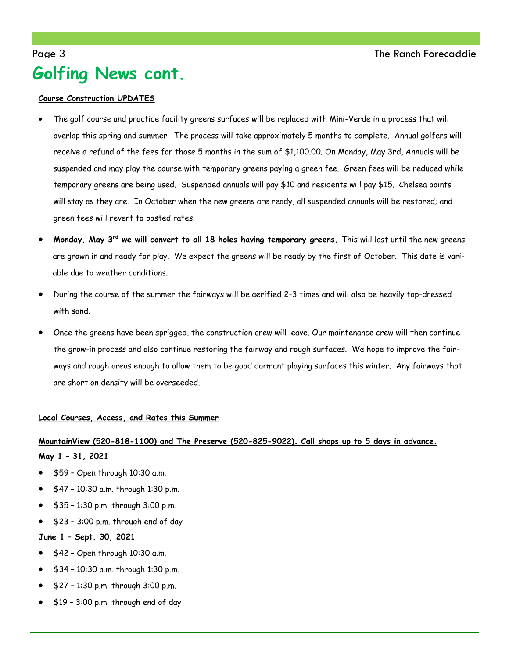### Page 3 The Ranch Forecaddie **Golfing News cont.**

#### **Course Construction UPDATES**

- The golf course and practice facility greens surfaces will be replaced with Mini-Verde in a process that will overlap this spring and summer. The process will take approximately 5 months to complete. Annual golfers will receive a refund of the fees for those 5 months in the sum of \$1,100.00. On Monday, May 3rd, Annuals will be suspended and may play the course with temporary greens paying a green fee. Green fees will be reduced while temporary greens are being used. Suspended annuals will pay \$10 and residents will pay \$15. Chelsea points will stay as they are. In October when the new greens are ready, all suspended annuals will be restored; and green fees will revert to posted rates.
- **Monday, May 3rd we will convert to all 18 holes having temporary greens.** This will last until the new greens are grown in and ready for play. We expect the greens will be ready by the first of October. This date is variable due to weather conditions.
- During the course of the summer the fairways will be aerified 2-3 times and will also be heavily top-dressed with sand.
- Once the greens have been sprigged, the construction crew will leave. Our maintenance crew will then continue the grow-in process and also continue restoring the fairway and rough surfaces. We hope to improve the fairways and rough areas enough to allow them to be good dormant playing surfaces this winter. Any fairways that are short on density will be overseeded.

#### **Local Courses, Access, and Rates this Summer**

#### **MountainView (520-818-1100) and The Preserve (520-825-9022). Call shops up to 5 days in advance.**

**May 1 – 31, 2021**

- \$59 Open through 10:30 a.m.
- \$47 10:30 a.m. through 1:30 p.m.
- \$35 1:30 p.m. through 3:00 p.m.
- \$23 3:00 p.m. through end of day

**June 1 – Sept. 30, 2021**

- \$42 Open through 10:30 a.m.
- \$34 10:30 a.m. through 1:30 p.m.
- \$27 1:30 p.m. through 3:00 p.m.
- \$19 3:00 p.m. through end of day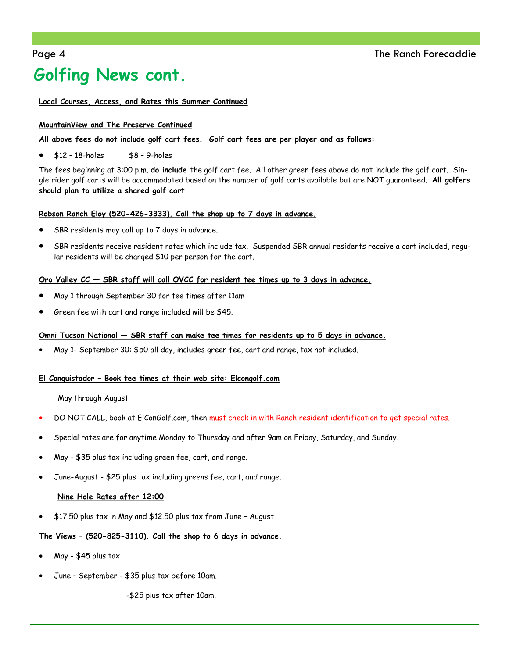## **Golfing News cont.**

#### **Local Courses, Access, and Rates this Summer Continued**

#### **MountainView and The Preserve Continued**

#### **All above fees do not include golf cart fees. Golf cart fees are per player and as follows:**

 $$12 - 18$ -holes  $$8 - 9$ -holes

The fees beginning at 3:00 p.m. **do include** the golf cart fee. All other green fees above do not include the golf cart. Single rider golf carts will be accommodated based on the number of golf carts available but are NOT guaranteed. **All golfers should plan to utilize a shared golf cart.**

#### **Robson Ranch Eloy (520-426-3333). Call the shop up to 7 days in advance.**

- SBR residents may call up to 7 days in advance.
- SBR residents receive resident rates which include tax. Suspended SBR annual residents receive a cart included, regular residents will be charged \$10 per person for the cart.

#### **Oro Valley CC — SBR staff will call OVCC for resident tee times up to 3 days in advance.**

- May 1 through September 30 for tee times after 11am
- Green fee with cart and range included will be \$45.

#### **Omni Tucson National — SBR staff can make tee times for residents up to 5 days in advance.**

May 1- September 30: \$50 all day, includes green fee, cart and range, tax not included.

#### **El Conquistador – Book tee times at their web site: Elcongolf.com**

May through August

- DO NOT CALL, book at ElConGolf.com, then must check in with Ranch resident identification to get special rates.
- Special rates are for anytime Monday to Thursday and after 9am on Friday, Saturday, and Sunday.
- May \$35 plus tax including green fee, cart, and range.
- June-August \$25 plus tax including greens fee, cart, and range.

#### **Nine Hole Rates after 12:00**

\$17.50 plus tax in May and \$12.50 plus tax from June – August.

#### **The Views – (520-825-3110). Call the shop to 6 days in advance.**

- May \$45 plus tax
- June September \$35 plus tax before 10am.

-\$25 plus tax after 10am.